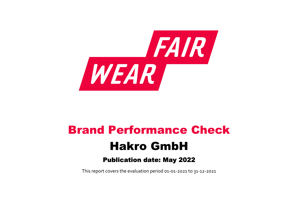

# Brand Performance Check Hakro GmbH

# Publication date: May 2022

This report covers the evaluation period 01‐01‐2021 to 31‐12‐2021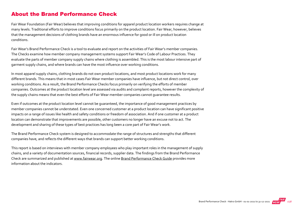#### About the Brand Performance Check

Fair Wear Foundation (Fair Wear) believes that improving conditions for apparel product location workers requires change at many levels. Traditional efforts to improve conditions focus primarily on the product location. Fair Wear, however, believes that the management decisions of clothing brands have an enormous influence for good or ill on product location conditions.

Fair Wear's Brand Performance Check is a tool to evaluate and report on the activities of Fair Wear's member companies. The Checks examine how member company management systems support Fair Wear's Code of Labour Practices. They evaluate the parts of member company supply chains where clothing is assembled. This is the most labour intensive part of garment supply chains, and where brands can have the most influence over working conditions.

In most apparel supply chains, clothing brands do not own product locations, and most product locations work for many different brands. This means that in most cases Fair Wear member companies have influence, but not direct control, over working conditions. As a result, the Brand Performance Checks focus primarily on verifying the efforts of member companies. Outcomes at the product location level are assessed via audits and complaint reports, however the complexity of the supply chains means that even the best efforts of Fair Wear member companies cannot guarantee results.

Even if outcomes at the product location level cannot be guaranteed, the importance of good management practices by member companies cannot be understated. Even one concerned customer at a product location can have significant positive impacts on a range of issues like health and safety conditions or freedom of association. And if one customer at a product location can demonstrate that improvements are possible, other customers no longer have an excuse not to act. The development and sharing of these types of best practices has long been a core part of Fair Wear's work.

The Brand Performance Check system is designed to accommodate the range of structures and strengths that different companies have, and reflects the different ways that brands can support better working conditions.

This report is based on interviews with member company employees who play important roles in the management of supply chains, and a variety of documentation sources, financial records, supplier data. The findings from the Brand Performance Check are summarized and published at [www.fairwear.org](http://www.fairwear.org/). The online [Brand Performance Check Guide](https://members.fairwear.org/resources/brand-performance-check-guide/12) provides more information about the indicators.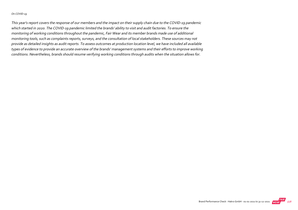#### On COVID‐19

This year's report covers the response of our members and the impact on their supply chain due to the COVID‐19 pandemic which started in 2020. The COVID‐19 pandemic limited the brands' ability to visit and audit factories. To ensure the monitoring of working conditions throughout the pandemic, Fair Wear and its member brands made use of additional monitoring tools, such as complaints reports, surveys, and the consultation of local stakeholders. These sources may not provide as detailed insights as audit reports. To assess outcomes at production location level, we have included all available types of evidence to provide an accurate overview of the brands' management systems and their efforts to improve working conditions. Nevertheless, brands should resume verifying working conditions through audits when the situation allows for.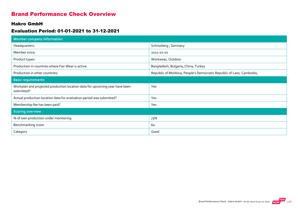#### Brand Performance Check Overview

#### Hakro GmbH

#### Evaluation Period: 01-01-2021 to 31-12-2021

| <b>Member company information</b>                                                         |                                                                      |
|-------------------------------------------------------------------------------------------|----------------------------------------------------------------------|
| Headquarters:                                                                             | Schrozberg, Germany                                                  |
| Member since:                                                                             | 2021-01-01                                                           |
| Product types:                                                                            | Workwear, Outdoor                                                    |
| Production in countries where Fair Wear is active:                                        | Bangladesh, Bulgaria, China, Turkey                                  |
| Production in other countries:                                                            | Republic of Moldova, People's Democratic Republic of Laos, Cambodia, |
| <b>Basic requirements</b>                                                                 |                                                                      |
| Workplan and projected production location data for upcoming year have been<br>submitted? | Yes                                                                  |
| Actual production location data for evaluation period was submitted?                      | Yes                                                                  |
| Membership fee has been paid?                                                             | Yes                                                                  |
| <b>Scoring overview</b>                                                                   |                                                                      |
| % of own production under monitoring                                                      | 73%                                                                  |
| Benchmarking score                                                                        | 60                                                                   |
| Category                                                                                  | Good                                                                 |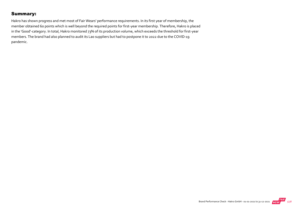#### Summary:

Hakro has shown progress and met most of Fair Wears' performance requirements. In its first year of membership, the member obtained 60 points which is well beyond the required points for first‐year membership. Therefore, Hakro is placed in the 'Good'-category. In total, Hakro monitored 73% of its production volume, which exceeds the threshold for first-year members. The brand had also planned to audit its Lao suppliers but had to postpone it to 2022 due to the COVID‐19 pandemic.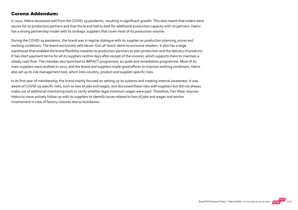#### Corona Addendum:

In 2021, Hakro recovered well from the COVID‐19 pandemic, resulting in significant growth. This also meant that orders were secure for its production partners and that the brand had to look for additional production capacity with its partners. Hakro has a strong partnership model with its strategic suppliers that cover most of its production volume.

During the COVID‐19 pandemic, the brand was in regular dialogue with its supplier on production planning, prices and working conditions. The brand exclusively sells Never‐Out‐of‐Stock‐items to exclusive retailers. It also has a large warehouse that enabled the brand flexibility towards its production partners to plan production and the delivery of products. It has short payment terms for all its suppliers (within days after receipt of the invoice), which supports them to maintain a steady cash flow. The member also launched its IMPACT programme, an audit and remediation programme. Most of its main suppliers were audited in 2021, and the brand and suppliers made good efforts to improve working conditions. Hakro also set up its risk management tool, which links country, product and supplier-specific risks.

In its first year of membership, the brand mainly focused on setting up its systems and creating internal awareness. It was aware of COVID‐19 specific risks, such as loss of jobs and wages, and discussed these risks with suppliers but did not always make use of additional monitoring tools to verify whether legal minimum wages were paid. Therefore, Fair Wear requires Hakro to more actively follow up with its suppliers to identify issues related to loss of jobs and wages and worker involvement in case of factory closures due to lockdowns.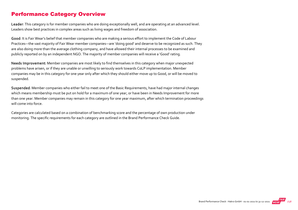#### Performance Category Overview

Leader: This category is for member companies who are doing exceptionally well, and are operating at an advanced level. Leaders show best practices in complex areas such as living wages and freedom of association.

Good: It is Fair Wear's belief that member companies who are making a serious effort to implement the Code of Labour Practices—the vast majority of Fair Wear member companies—are 'doing good' and deserve to be recognized as such. They are also doing more than the average clothing company, and have allowed their internal processes to be examined and publicly reported on by an independent NGO. The majority of member companies will receive a 'Good' rating.

Needs Improvement: Member companies are most likely to find themselves in this category when major unexpected problems have arisen, or if they are unable or unwilling to seriously work towards CoLP implementation. Member companies may be in this category for one year only after which they should either move up to Good, or will be moved to suspended.

Suspended: Member companies who either fail to meet one of the Basic Requirements, have had major internal changes which means membership must be put on hold for a maximum of one year, or have been in Needs Improvement for more than one year. Member companies may remain in this category for one year maximum, after which termination proceedings will come into force.

Categories are calculated based on a combination of benchmarking score and the percentage of own production under monitoring. The specific requirements for each category are outlined in the Brand Performance Check Guide.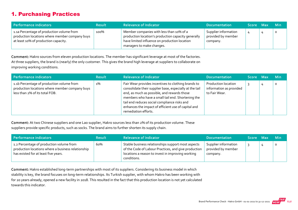## 1. Purchasing Practices

| Performance indicators                                                                                                              | <b>Result</b> | <b>Relevance of Indicator</b>                                                                                                                                                 | <b>Documentation</b>                                   | Score Max | <b>Min</b> |
|-------------------------------------------------------------------------------------------------------------------------------------|---------------|-------------------------------------------------------------------------------------------------------------------------------------------------------------------------------|--------------------------------------------------------|-----------|------------|
| 1.1a Percentage of production volume from<br>production locations where member company buys<br>at least 10% of production capacity. | 100%          | Member companies with less than 10% of a<br>production location's production capacity generally<br>have limited influence on production location<br>managers to make changes. | Supplier information<br>provided by member<br>company. | 4         | $\circ$    |

Comment: Hakro sources from eleven production locations. The member has significant leverage at most of the factories. At three suppliers, the brand is (nearly) the only customer. This gives the brand high leverage at suppliers to collaborate on improving working conditions.

| Performance indicators                                                                                                        | <b>Result</b> | <b>Relevance of Indicator</b>                                                                                                                                                                                                                                                                                                                     | <b>Documentation</b>                                                   | Score Max | <b>Min</b> |
|-------------------------------------------------------------------------------------------------------------------------------|---------------|---------------------------------------------------------------------------------------------------------------------------------------------------------------------------------------------------------------------------------------------------------------------------------------------------------------------------------------------------|------------------------------------------------------------------------|-----------|------------|
| 1.1b Percentage of production volume from<br>production locations where member company buys<br>less than 2% of its total FOB. | 1%            | Fair Wear provides incentives to clothing brands to<br>consolidate their supplier base, especially at the tail<br>end, as much as possible, and rewards those<br>members who have a small tail end. Shortening the<br>tail end reduces social compliance risks and<br>enhances the impact of efficient use of capital and<br>remediation efforts. | <b>Production location</b><br>information as provided<br>to Fair Wear. |           | O          |

Comment: At two Chinese suppliers and one Lao supplier, Hakro sources less than 2% of its production volume. These suppliers provide specific products, such as socks. The brand aims to further shorten its supply chain.

| Performance indicators                                                                                                                 | <b>Result</b> | <b>Relevance of Indicator</b>                                                                                                                                                  | <b>Documentation</b>                                   | Score Max | <b>Min</b> |
|----------------------------------------------------------------------------------------------------------------------------------------|---------------|--------------------------------------------------------------------------------------------------------------------------------------------------------------------------------|--------------------------------------------------------|-----------|------------|
| 1.2 Percentage of production volume from<br>production locations where a business relationship<br>has existed for at least five years. | 60%           | Stable business relationships support most aspects<br>of the Code of Labour Practices, and give production<br>locations a reason to invest in improving working<br>conditions. | Supplier information<br>provided by member<br>company. |           |            |

Comment: Hakro established long-term partnerships with most of its suppliers. Considering its business model in which stability is key, the brand focuses on long‐term relationships. Its Turkish supplier, with whom Hakro has been working with for 20 years already, opened a new facility in 2018. This resulted in the fact that this production location is not yet calculated towards this indicator.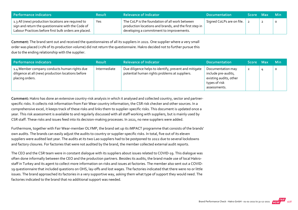| <b>Performance indicators</b>                                                                                                                                     | <b>Result</b> | <b>Relevance of Indicator</b>                                                                                                                        | <b>Documentation</b>             | <b>Score</b> | / Max | - Min |
|-------------------------------------------------------------------------------------------------------------------------------------------------------------------|---------------|------------------------------------------------------------------------------------------------------------------------------------------------------|----------------------------------|--------------|-------|-------|
| 1.3 All (new) production locations are required to<br>sign and return the questionnaire with the Code of<br>Labour Practices before first bulk orders are placed. | Yes           | The CoLP is the foundation of all work between<br>production locations and brands, and the first step in<br>developing a commitment to improvements. | $\Box$ Signed CoLPs are on file. |              |       |       |

Comment: The brand sent out and received the questionnaires of all its suppliers in 2021. One supplier where a very small order was placed (<1% of its production volume) did not return the questionnaire. Hakro decided not to further pursue this due to the ending relationship with the supplier.

| Performance indicators                                                                                                | <b>Result</b> | <b>Relevance of Indicator</b>                                                                          | <b>Documentation</b>                                                                                | Score Max | <b>Min</b> |
|-----------------------------------------------------------------------------------------------------------------------|---------------|--------------------------------------------------------------------------------------------------------|-----------------------------------------------------------------------------------------------------|-----------|------------|
| 1.4 Member company conducts human rights due<br>diligence at all (new) production locations before<br>placing orders. | Intermediate  | Due diligence helps to identify, prevent and mitigate<br>potential human rights problems at suppliers. | Documentation may<br>include pre-audits,<br>existing audits, other<br>types of risk<br>assessments. | 2         | $\circ$    |

Comment: Hakro has done an extensive country-risk analysis in which it analysed and collected country, sector and partnerspecific risks. It collects risk information from Fair Wear country information, the CSR risk checker and other sources. In a comprehensive excel, it keeps track of these risks and links them to supplier‐specific risks. This document is updated once a year. This risk assessment is available to and regularly discussed with all staff working with suppliers, but is mainly used by CSR staff. These risks and issues feed into its decision‐making processes. In 2021, no new suppliers were added.

Furthermore, together with Fair Wear-member OLYMP, the brand set up its iMPACT programme that consists of the brands' own audits. The brands can easily adjust the audits to country or supplier‐specific risks. In total, five out of its eleven suppliers were audited last year. The audits at its two Lao suppliers had to be postponed to 2022 due to several lockdowns and factory closures. For factories that were not audited by the brand, the member collected external audit reports.

The CEO and the CSR team were in constant dialogue with its suppliers about issues related to COVID‐19. This dialogue was often done informally between the CEO and the production partners. Besides its audits, the brand made use of local Hakro‐ staff in Turkey and its agent to collect more information on risks and issues at factories. The member also sent out a COVID‐ 19 questionnaire that included questions on OHS, lay-offs and lost wages. The factories indicated that there were no or little issues. The brand approached its factories in a very supportive way, asking them what type of support they would need. The factories indicated to the brand that no additional support was needed.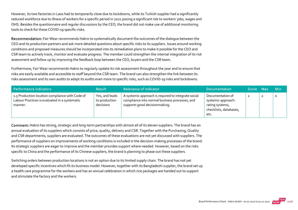However, its two factories in Laos had to temporarily close due to lockdowns, while its Turkish supplier had a significantly reduced workforce due to illness of workers for a specific period in 2021 posing a significant risk to workers' jobs, wages and OHS. Besides the questionnaire and regular discussions by the CEO, the brand did not make use of additional monitoring tools to check for these COVID‐19 specific‐risks.

Recommendation: Fair Wear recommends Hakro to systematically document the outcomes of the dialogue between the CEO and its production partners and ask more detailed questions about specific risks to its suppliers. Issues around working conditions and proposed measures should be incorporated into its remediation plans to make it possible for the CEO and CSR team to actively track, monitor and evaluate progress. The member could strengthen the internal integration of its risk assessment and follow up by improving the feedback loop between the CEO, buyers and the CSR team.

Furthermore, Fair Wear recommends Hakro to regularly update its risk assessment throughout the year and to ensure that risks are easily available and accessible to staff beyond the CSR team. The brand can also strengthen the link between its risks assessment and its own audits to adapt its audits even more to specific risks, such as COVID‐19 risks and lockdowns.

| Performance indicators                                                                                      | <b>Result</b>                                | <b>Relevance of Indicator</b>                                                                                                          | <b>Documentation</b>                                                                        | <b>Score</b> | - Max | <b>Min</b> |
|-------------------------------------------------------------------------------------------------------------|----------------------------------------------|----------------------------------------------------------------------------------------------------------------------------------------|---------------------------------------------------------------------------------------------|--------------|-------|------------|
| 1.5 Production location compliance with Code of<br>Labour Practices is evaluated in a systematic<br>manner. | Yes, and leads<br>to production<br>decisions | A systemic approach is required to integrate social<br>compliance into normal business processes, and<br>supports good decisionmaking. | Documentation of<br>systemic approach:<br>rating systems,<br>checklists, databases,<br>etc. | ∠            |       | $\circ$    |

Comment: Hakro has strong, strategic and long-term partnerships with almost all of its eleven suppliers. The brand has an annual evaluation of its suppliers which consists of price, quality, delivery and CSR. Together with the Purchasing, Quality and CSR departments, suppliers are evaluated. The outcomes of these evaluations are not yet discussed with suppliers. The performance of suppliers on improvements of working conditions is included in the decision-making processes of the brand. Its strategic suppliers are eager to improve and the member provides support where needed. However, based on the risks specific to China and the performance of its Chinese suppliers, the brand is planning to phase out these suppliers.

Switching orders between production locations is not an option due to its limited supply chain. The brand has not yet developed specific incentives which fit its business model. However, together with its Bangladeshi supplier, the brand set up a health care programme for the workers and has an annual celebration in which rice packages are handed out to support and stimulate the factory and the workers.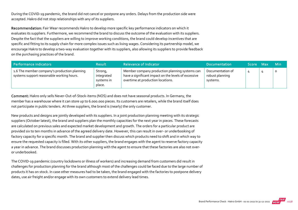During the COVID‐19 pandemic, the brand did not cancel or postpone any orders. Delays from the production side were accepted. Hakro did not stop relationships with any of its suppliers.

Recommendation: Fair Wear recommends Hakro to develop more specific key performance indicators on which it evaluates its suppliers. Furthermore, we recommend the brand to discuss the outcome of the evaluation with its suppliers. Despite the fact that the suppliers are willing to improve working conditions, the brand could develop incentives that are specific and fitting to its supply chain for more complex issues such as living wages. Considering its partnership model, we encourage Hakro to develop a two‐way evaluation together with its suppliers, also allowing its suppliers to provide feedback on the purchasing practices of the brand.

| Performance indicators                                                                    | <b>Result</b>                                 | <b>Relevance of Indicator</b>                                                                                                               | <b>Documentation</b>                            | Score Max | <b>Min</b> |
|-------------------------------------------------------------------------------------------|-----------------------------------------------|---------------------------------------------------------------------------------------------------------------------------------------------|-------------------------------------------------|-----------|------------|
| 1.6 The member company's production planning<br>systems support reasonable working hours. | Strong,<br>integrated<br>systems in<br>place. | Member company production planning systems can<br>have a significant impact on the levels of excessive<br>overtime at production locations. | Documentation of<br>robust planning<br>systems. |           |            |

Comment: Hakro only sells Never‐Out‐of‐Stock‐items (NOS) and does not have seasonal products. In Germany, the member has a warehouse where it can store up to 6.000.000 pieces. Its customers are retailers, while the brand itself does not participate in public tenders. At three suppliers, the brand is (nearly) the only customer.

New products and designs are jointly developed with its suppliers. In a joint production planning meeting with its strategic suppliers (October latest), the brand and suppliers plan the monthly capacities for the next year in pieces. These forecasts are calculated on previous sales and expected market development and growth. The orders for a particular product are provided six to ten months in advance of the agreed delivery date. However, this can result in over‐ or underbooking of factory capacity for a specific month. The brand and supplier then discuss which products need to shift and in which way to ensure the requested capacity is filled. With its other suppliers, the brand engages with the agent to reserve factory capacity a year in advance. The brand discusses production planning with the agent to ensure that these factories are also not over‐ or underbooked.

The COVID‐19 pandemic (country lockdowns or illness of workers) and increasing demand from customers did result in challenges for production planning for the brand although most of the challenges could be faced due to the large number of products it has on stock. In case other measures had to be taken, the brand engaged with the factories to postpone delivery dates, use air freight and/or engage with its own customers to extend delivery lead times.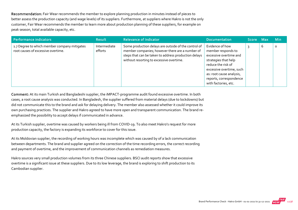Recommendation: Fair Wear recommends the member to explore planning production in minutes instead of pieces to better assess the production capacity (and wage levels) of its suppliers. Furthermore, at suppliers where Hakro is not the only customer, Fair Wear recommends the member to learn more about production planning of these suppliers, for example on peak season, total available capacity, etc.

| <b>Performance indicators</b>                                                      | <b>Result</b>           | <b>Relevance of Indicator</b>                                                                                                                                                                               | <b>Documentation</b>                                                                                                                                                                                                     | Score Max |                               | <b>Min</b> |
|------------------------------------------------------------------------------------|-------------------------|-------------------------------------------------------------------------------------------------------------------------------------------------------------------------------------------------------------|--------------------------------------------------------------------------------------------------------------------------------------------------------------------------------------------------------------------------|-----------|-------------------------------|------------|
| 1.7 Degree to which member company mitigates<br>root causes of excessive overtime. | Intermediate<br>efforts | Some production delays are outside of the control of<br>member companies; however there are a number of<br>steps that can be taken to address production delays<br>without resorting to excessive overtime. | Evidence of how<br>member responds to<br>excessive overtime and<br>strategies that help<br>reduce the risk of<br>excessive overtime, such<br>as: root cause analysis,<br>reports, correspondence<br>with factories, etc. |           | $\overline{\phantom{0}}$<br>b | 0          |

Comment: At its main Turkish and Bangladeshi supplier, the iMPACT‐programme audit found excessive overtime. In both cases, a root cause analysis was conducted. In Bangladesh, the supplier suffered from material delays (due to lockdowns) but did not communicate this to the brand and ask for delaying delivery. The member also assessed whether it could improve its own purchasing practices. The supplier and Hakro agreed to have more open and transparent communication. The brand re‐ emphasized the possibility to accept delays if communicated in advance.

At its Turkish supplier, overtime was caused by workers being ill from COVID‐19. To also meet Hakro's request for more production capacity, the factory is expanding its workforce to cover for this issue.

At its Moldovian supplier, the recording of working hours was incomplete which was caused by of a lack communication between departments. The brand and supplier agreed on the correction of the time recording errors, the correct recording and payment of overtime, and the improvement of communication channels as remediation measures.

Hakro sources very small production volumes from its three Chinese suppliers. BSCI audit reports show that excessive overtime is a significant issue at these suppliers. Due to its low leverage, the brand is exploring to shift production to its Cambodian supplier.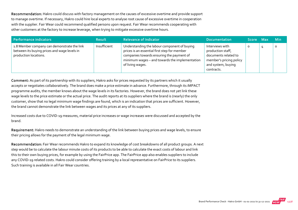Recommendation: Hakro could discuss with factory management on the causes of excessive overtime and provide support to manage overtime. If necessary, Hakro could hire local experts to analyse root cause of excessive overtime in cooperation with the supplier. Fair Wear could recommend qualified persons upon request. Fair Wear recommends cooperating with other customers at the factory to increase leverage, when trying to mitigate excessive overtime hours.

| Performance indicators                                                                                               | <b>Result</b> | <b>Relevance of Indicator</b>                                                                                                                                                                                   | <b>Documentation</b>                                                                                                        | Score Max | <b>Min</b> |
|----------------------------------------------------------------------------------------------------------------------|---------------|-----------------------------------------------------------------------------------------------------------------------------------------------------------------------------------------------------------------|-----------------------------------------------------------------------------------------------------------------------------|-----------|------------|
| 1.8 Member company can demonstrate the link<br>between its buying prices and wage levels in<br>production locations. | Insufficient  | Understanding the labour component of buying<br>prices is an essential first step for member<br>companies towards ensuring the payment of<br>minimum wages - and towards the implementation<br>of living wages. | Interviews with<br>production staff,<br>documents related to<br>member's pricing policy<br>and system, buying<br>contracts. | O         | 0          |

Comment: As part of its partnership with its suppliers, Hakro asks for prices requested by its partners which it usually accepts or negotiates collaboratively. The brand does make a price estimate in advance. Furthermore, through its iMPACT programme audits, the member knows about the wage levels in its factories. However, the brand does not yet link these wage levels to the price estimate or the actual price. The audit reports at its suppliers where the brand is (nearly) the only customer, show that no legal minimum wage findings are found, which is an indication that prices are sufficient. However, the brand cannot demonstrate the link between wages and its prices at any of its suppliers.

Increased costs due to COVID‐19 measures, material price increases or wage increases were discussed and accepted by the brand.

Requirement: Hakro needs to demonstrate an understanding of the link between buying prices and wage levels, to ensure their pricing allows for the payment of the legal minimum wage.

Recommendation: Fair Wear recommends Hakro to expand its knowledge of cost breakdowns of all product groups. A next step would be to calculate the labour minute costs of its products to be able to calculate the exact costs of labour and link this to their own buying prices, for example by using the FairPrice app. The FairPrice app also enables suppliers to include any COVID-19 related costs. Hakro could consider offering training by a local representative on FairPrice to its suppliers. Such training is available in all Fair Wear countries.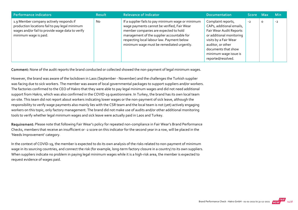| Performance indicators                                                                                                                                                 | <b>Result</b> | <b>Relevance of Indicator</b>                                                                                                                                                                                                                                                       | <b>Documentation</b>                                                                                                                                                                                                      | Score Max |   | <b>Min</b> |
|------------------------------------------------------------------------------------------------------------------------------------------------------------------------|---------------|-------------------------------------------------------------------------------------------------------------------------------------------------------------------------------------------------------------------------------------------------------------------------------------|---------------------------------------------------------------------------------------------------------------------------------------------------------------------------------------------------------------------------|-----------|---|------------|
| 1.9 Member company actively responds if<br>production locations fail to pay legal minimum<br>wages and/or fail to provide wage data to verify<br>minimum wage is paid. | <b>No</b>     | If a supplier fails to pay minimum wage or minimum<br>wage payments cannot be verified, Fair Wear<br>member companies are expected to hold<br>management of the supplier accountable for<br>respecting local labour law. Payment below<br>minimum wage must be remediated urgently. | Complaint reports,<br>CAPs, additional emails,<br>Fair Wear Audit Reports<br>or additional monitoring<br>visits by a Fair Wear<br>auditor, or other<br>documents that show<br>minimum wage issue is<br>reported/resolved. | $-2$      | 0 | $-2$       |

Comment: None of the audit reports the brand conducted or collected showed the non-payment of legal minimum wages.

However, the brand was aware of the lockdown in Laos (September ‐ November) and the challenges the Turkish supplier was facing due to sick workers. The member was aware of local governmental packages to support suppliers and/or workers. The factories confirmed to the CEO of Hakro that they were able to pay legal minimum wages and did not need additional support from Hakro, which was also confirmed in the COVID-19 questionnaire. In Turkey, the brand has its own local team on‐site. This team did not report about workers indicating lower wages or the non‐payment of sick leave, although the responsibility to verify wage payments also mainly lies with the CSR team and the local team is not (yet) actively engaging workers on this topic, only factory management. The brand did not make use of audits and/or other additional monitoring tools to verify whether legal minimum wages and sick leave were actually paid in Laos and Turkey.

Requirement: Please note that following Fair Wear's policy for repeated non-compliance in Fair Wear's Brand Performance Checks, members that receive an insufficient or ‐2 score on this indicator for the second year in a row, will be placed in the 'Needs Improvement' category.

In the context of COVID-19, the member is expected to do its own analysis of the risks related to non-payment of minimum wage in its sourcing countries, and connect the risk (for example, long-term factory closure in a country) to its own suppliers. When suppliers indicate no problem in paying legal minimum wages while it is a high-risk area, the member is expected to request evidence of wages paid.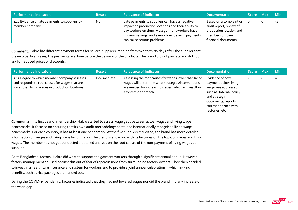| Performance indicators                                            | <b>Result</b> | <b>Relevance of Indicator</b>                                                                                                                                                                                                                 | <b>Documentation</b>                                                                                                    | Score Max |         | <b>Min</b> |
|-------------------------------------------------------------------|---------------|-----------------------------------------------------------------------------------------------------------------------------------------------------------------------------------------------------------------------------------------------|-------------------------------------------------------------------------------------------------------------------------|-----------|---------|------------|
| 1.10 Evidence of late payments to suppliers by<br>member company. | <b>No</b>     | Late payments to suppliers can have a negative<br>impact on production locations and their ability to<br>pay workers on time. Most garment workers have<br>minimal savings, and even a brief delay in payments<br>can cause serious problems. | Based on a complaint or<br>audit report; review of<br>production location and<br>member company<br>financial documents. |           | $\circ$ | $-1$       |

Comment: Hakro has different payment terms for several suppliers, ranging from two to thirty days after the supplier sent the invoice. In all cases, the payments are done before the delivery of the products. The brand did not pay late and did not ask for reduced prices or discounts.

| Performance indicators                                                                                                                             | <b>Result</b> | <b>Relevance of Indicator</b>                                                                                                                                                               | <b>Documentation</b>                                                                                                                                                       | Score Max |   | <b>Min</b> |
|----------------------------------------------------------------------------------------------------------------------------------------------------|---------------|---------------------------------------------------------------------------------------------------------------------------------------------------------------------------------------------|----------------------------------------------------------------------------------------------------------------------------------------------------------------------------|-----------|---|------------|
| 1.11 Degree to which member company assesses<br>and responds to root causes for wages that are<br>lower than living wages in production locations. | Intermediate  | Assessing the root causes for wages lower than living<br>wages will determine what strategies/interventions<br>are needed for increasing wages, which will result in<br>a systemic approach | Evidence of how<br>payment below living<br>wage was addressed,<br>such as: Internal policy<br>and strategy<br>documents, reports,<br>correspondence with<br>factories, etc |           | b | $\circ$    |

Comment: In its first year of membership, Hakro started to assess wage gaps between actual wages and living wage benchmarks. It focused on ensuring that its own audit methodology contained internationally recognised living wage benchmarks. For each country, it has at least one benchmark. At the five suppliers it audited, the brand has more detailed information on wages and living wage benchmarks. The brand is engaging with its factories on the topic of wages and living wages. The member has not yet conducted a detailed analysis on the root causes of the non-payment of living wages per supplier.

At its Bangladeshi factory, Hakro did want to support the garment workers through a significant annual bonus. However, factory management advised against this out of fear of repercussions from surrounding factory owners. They then decided to invest in a health care insurance and system for workers and to provide a joint annual celebration in which in‐kind benefits, such as rice packages are handed out.

During the COVID‐19 pandemic, factories indicated that they had not lowered wages nor did the brand find any increase of the wage gap.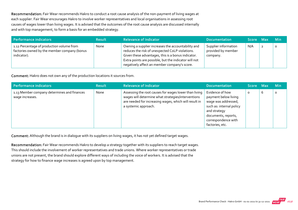Recommendation: Fair Wear recommends Hakro to conduct a root cause analysis of the non-payment of living wages at each supplier. Fair Wear encourages Hakro to involve worker representatives and local organisations in assessing root causes of wages lower than living wages. It is advised that the outcomes of the root cause analysis are discussed internally and with top management, to form a basis for an embedded strategy.

| <b>Performance indicators</b>                                                                            | <b>Result</b> | <b>Relevance of Indicator</b>                                                                                                                                                                                                                                        | <b>Documentation</b>                                   | Score Max | <b>Min</b> |
|----------------------------------------------------------------------------------------------------------|---------------|----------------------------------------------------------------------------------------------------------------------------------------------------------------------------------------------------------------------------------------------------------------------|--------------------------------------------------------|-----------|------------|
| 1.12 Percentage of production volume from<br>factories owned by the member company (bonus<br>indicator). | None          | Owning a supplier increases the accountability and<br>reduces the risk of unexpected CoLP violations.<br>Given these advantages, this is a bonus indicator.<br>Extra points are possible, but the indicator will not<br>negatively affect an member company's score. | Supplier information<br>provided by member<br>company. | N/A       |            |

Comment: Hakro does not own any of the production locations it sources from.

| Performance indicators                                         | <b>Result</b> | <b>Relevance of Indicator</b>                                                                                                                                                                | <b>Documentation</b>                                                                                                                                                        | Score Maxi |   | <b>Min</b> |
|----------------------------------------------------------------|---------------|----------------------------------------------------------------------------------------------------------------------------------------------------------------------------------------------|-----------------------------------------------------------------------------------------------------------------------------------------------------------------------------|------------|---|------------|
| 1.13 Member company determines and finances<br>wage increases. | None          | Assessing the root causes for wages lower than living<br>wages will determine what strategies/interventions<br>are needed for increasing wages, which will result in<br>a systemic approach. | Evidence of how<br>payment below living<br>wage was addressed,<br>such as: internal policy<br>and strategy<br>documents, reports,<br>correspondence with<br>factories, etc. | O          | 6 | $\Omega$   |

Comment: Although the brand is in dialogue with its suppliers on living wages, it has not yet defined target wages.

Recommendation: Fair Wear recommends Hakro to develop a strategy together with its suppliers to reach target wages. This should include the involvement of worker representatives and trade unions. Where worker representatives or trade unions are not present, the brand should explore different ways of including the voice of workers. It is advised that the strategy for how to finance wage increases is agreed upon by top management.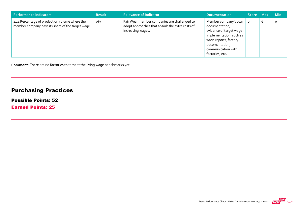| Performance indicators                                                                              | <b>Result</b> | <b>Relevance of Indicator</b>                                                                                        | Documentation                                                                                                                                                                    | Score Max |   | <b>Min</b> |
|-----------------------------------------------------------------------------------------------------|---------------|----------------------------------------------------------------------------------------------------------------------|----------------------------------------------------------------------------------------------------------------------------------------------------------------------------------|-----------|---|------------|
| 1.14 Percentage of production volume where the<br>member company pays its share of the target wage. | о%            | Fair Wear member companies are challenged to<br>adopt approaches that absorb the extra costs of<br>increasing wages. | Member company's own<br>documentation,<br>evidence of target wage<br>implementation, such as<br>wage reports, factory<br>documentation,<br>communication with<br>factories, etc. | $\circ$   | b | $\circ$    |

Comment: There are no factories that meet the living wage benchmarks yet.

# Purchasing Practices

#### Possible Points: 52

Earned Points: 25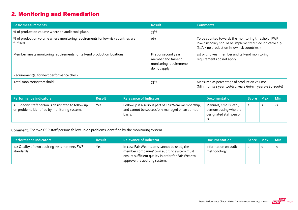# 2. Monitoring and Remediation

| <b>Basic measurements</b>                                                                     | <b>Result</b>                                                                          | <b>Comments</b>                                                                                                                                                  |
|-----------------------------------------------------------------------------------------------|----------------------------------------------------------------------------------------|------------------------------------------------------------------------------------------------------------------------------------------------------------------|
| % of production volume where an audit took place.                                             | 73%                                                                                    |                                                                                                                                                                  |
| % of production volume where monitoring requirements for low-risk countries are<br>fulfilled. | о%                                                                                     | To be counted towards the monitoring threshold, FWF<br>low-risk policy should be implemented. See indicator 2.9.<br>(N/A = no production in low risk countries.) |
| Member meets monitoring requirements for tail-end production locations.                       | First or second year<br>member and tail-end<br>monitoring requirements<br>do not apply | 1st or 2nd year member and tail-end monitoring<br>requirements do not apply.                                                                                     |
| Requirement(s) for next performance check                                                     |                                                                                        |                                                                                                                                                                  |
| Total monitoring threshold:                                                                   | 73%                                                                                    | Measured as percentage of production volume<br>(Minimums: 1 year: 40%; 2 years 60%; 3 years+: 80-100%)                                                           |

| Performance indicators                                                                               | <b>Result</b> | <b>Relevance of Indicator</b>                                                                                    | <b>Documentation</b>                                                              | Score Max |                | <b>Min</b> |
|------------------------------------------------------------------------------------------------------|---------------|------------------------------------------------------------------------------------------------------------------|-----------------------------------------------------------------------------------|-----------|----------------|------------|
| 2.1 Specific staff person is designated to follow up<br>on problems identified by monitoring system. | Yes           | Followup is a serious part of Fair Wear membership,<br>and cannot be successfully managed on an ad-hoc<br>basis. | Manuals, emails, etc.,<br>demonstrating who the<br>designated staff person<br>15. |           | $\overline{2}$ | $-2$       |

Comment: The two CSR staff persons follow up on problems identified by the monitoring system.

| Performance indicators                                     | <b>Result</b> | <b>Relevance of Indicator</b>                                                                                                                                                    | <b>Documentation</b>                 | Score Max | <b>Min</b> |
|------------------------------------------------------------|---------------|----------------------------------------------------------------------------------------------------------------------------------------------------------------------------------|--------------------------------------|-----------|------------|
| 2.2 Quality of own auditing system meets FWF<br>standards. | Yes           | In case Fair Wear teams cannot be used, the<br>member companies' own auditing system must<br>ensure sufficient quality in order for Fair Wear to<br>approve the auditing system. | Information on audit<br>methodology. | O         | $-1$       |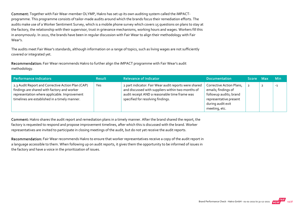Comment: Together with Fair Wear‐member OLYMP, Hakro has set up its own auditing system called the iMPACT‐ programme. This programme consists of tailor‐made audits around which the brands focus their remediation efforts. The audits make use of a Worker Sentiment Survey, which is a mobile phone survey which covers 15 questions on plans to stay at the factory, the relationship with their supervisor, trust in grievance mechanisms, working hours and wages. Workers fill this in anonymously. In 2021, the brands have been in regular discussion with Fair Wear to align their methodology with Fair Wear's.

The audits meet Fair Wear's standards, although information on a range of topics, such as living wages are not sufficiently covered or integrated yet.

Recommendation: Fair Wear recommends Hakro to further align the iMPACT programme with Fair Wear's audit methodology.

| <b>Performance indicators</b>                                                                                                                                                                     | <b>Result</b> | <b>Relevance of Indicator</b>                                                                                                                                                                    | <b>Documentation</b>                                                                                                                      | Score Max | <b>Min</b> |
|---------------------------------------------------------------------------------------------------------------------------------------------------------------------------------------------------|---------------|--------------------------------------------------------------------------------------------------------------------------------------------------------------------------------------------------|-------------------------------------------------------------------------------------------------------------------------------------------|-----------|------------|
| 2.3 Audit Report and Corrective Action Plan (CAP)<br>findings are shared with factory and worker<br>representation where applicable. Improvement<br>timelines are established in a timely manner. | Yes           | 2 part indicator: Fair Wear audit reports were shared<br>and discussed with suppliers within two months of<br>audit receipt AND a reasonable time frame was<br>specified for resolving findings. | Corrective Action Plans,<br>emails; findings of<br>followup audits; brand<br>representative present<br>during audit exit<br>meeting, etc. |           | $-1$       |

Comment: Hakro shares the audit report and remediation plans in a timely manner. After the brand shared the report, the factory is requested to respond and propose improvement timelines, after which this is discussed with the brand. Worker representatives are invited to participate in closing meetings of the audit, but do not yet receive the audit reports.

Recommendation: Fair Wear recommends Hakro to ensure that worker representatives receive a copy of the audit report in a language accessible to them. When following up on audit reports, it gives them the opportunity to be informed of issues in the factory and have a voice in the prioritization of issues.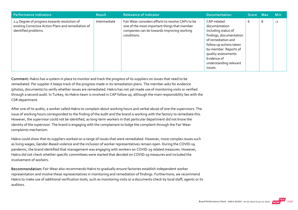| <b>Performance indicators</b>                                                                                               | <b>Result</b> | <b>Relevance of Indicator</b>                                                                                                                                  | <b>Documentation</b>                                                                                                                                                                                                                 | Score Max |   | <b>Min</b> |
|-----------------------------------------------------------------------------------------------------------------------------|---------------|----------------------------------------------------------------------------------------------------------------------------------------------------------------|--------------------------------------------------------------------------------------------------------------------------------------------------------------------------------------------------------------------------------------|-----------|---|------------|
| 2.4 Degree of progress towards resolution of<br>existing Corrective Action Plans and remediation of<br>identified problems. | Intermediate  | Fair Wear considers efforts to resolve CAPs to be<br>one of the most important things that member<br>companies can do towards improving working<br>conditions. | CAP-related<br>documentation<br>including status of<br>findings, documentation<br>of remediation and<br>follow up actions taken<br>by member. Reports of<br>quality assessments.<br>Evidence of<br>understanding relevant<br>issues. | 6         | 8 | $-2$       |

Comment: Hakro has a system in place to monitor and track the progress of its suppliers on issues that need to be remediated. Per supplier it keeps track of the progress made in its remediation plans. The member asks for evidence (photos, documents) to verify whether issues are remediated. Hakro has not yet made use of monitoring visits or verified through a second audit. In Turkey, its Hakro‐team is involved in CAP follow up, although the main responsibility lies with the CSR department.

After one of its audits, a worker called Hakro to complain about working hours and verbal abuse of one the supervisors. The issue of working hours corresponded to the finding of the audit and the brand is working with the factory to remediate this. However, the supervisor could not be identified, as long‐term workers in that particular department did not know the identity of the supervisor. The brand is engaging with the complainant to lodge the complaint through the Fair Wear complaints mechanism.

Hakro could show that its suppliers worked on a range of issues that were remediated. However, more complex issues such as living wages, Gender‐Based violence and the inclusion of worker representatives remain open. During the COVID‐19 pandemic, the brand identified that management was engaging with workers on COVID‐19 related measures. However, Hakro did not check whether specific committees were started that decided on COVID‐19 measures and included the involvement of workers.

Recommendation: Fair Wear also recommends Hakro to gradually ensure factories establish independent worker representation and involve these representatives in monitoring and remediation of findings. Furthermore, we recommend Hakro to make use of additional verification tools, such as monitoring visits or a documents check by local staff, agents or its auditors.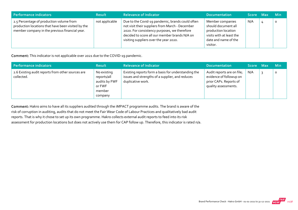| Performance indicators                                                                                                                           | <b>Result</b>  | <b>Relevance of Indicator</b>                                                                                                                                                                                                                  | <b>Documentation</b>                                                                                                           | Score Max |   | <b>Min</b> |
|--------------------------------------------------------------------------------------------------------------------------------------------------|----------------|------------------------------------------------------------------------------------------------------------------------------------------------------------------------------------------------------------------------------------------------|--------------------------------------------------------------------------------------------------------------------------------|-----------|---|------------|
| 2.5 Percentage of production volume from<br>production locations that have been visited by the<br>member company in the previous financial year. | not applicable | Due to the Covid-19 pandemic, brands could often<br>not visit their suppliers from March - December<br>2020. For consistency purposes, we therefore<br>decided to score all our member brands N/A on<br>visiting suppliers over the year 2020. | Member companies<br>should document all<br>production location<br>visits with at least the<br>date and name of the<br>visitor. | N/A       | 4 | $\circ$    |

Comment: This indicator is not applicable over 2021 due to the COVID‐19 pandemic.

| Performance indicators                                          | <b>Result</b>                                                              | <b>Relevance of Indicator</b>                                                                                               | <b>Documentation</b>                                                                                    | Score Max | <b>Min</b> |
|-----------------------------------------------------------------|----------------------------------------------------------------------------|-----------------------------------------------------------------------------------------------------------------------------|---------------------------------------------------------------------------------------------------------|-----------|------------|
| 2.6 Existing audit reports from other sources are<br>collected. | No existing<br>reports/all<br>audits by FWF<br>or FWF<br>member<br>company | Existing reports form a basis for understanding the<br>issues and strengths of a supplier, and reduces<br>duplicative work. | Audit reports are on file;<br>evidence of followup on<br>prior CAPs. Reports of<br>quality assessments. | N/A       | O          |

Comment: Hakro aims to have all its suppliers audited through the iMPACT programme audits. The brand is aware of the risk of corruption in auditing, audits that do not meet the Fair Wear Code of Labour Practices and qualitatively bad audit reports. That is why it chose to set up its own programme. Hakro collects external audit reports to feed into its risk assessment for production locations but does not actively use them for CAP follow up. Therefore, this indicator is rated n/a.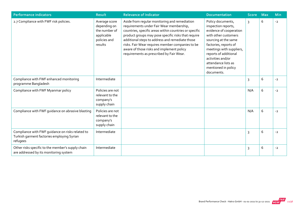| <b>Performance indicators</b>                                                                              | <b>Result</b>                                                                           | <b>Relevance of Indicator</b>                                                                                                                                                                                                                                                                                                                                                                              | <b>Documentation</b>                                                                                                                                                                                                                                                               | <b>Score</b> | <b>Max</b> | <b>Min</b> |
|------------------------------------------------------------------------------------------------------------|-----------------------------------------------------------------------------------------|------------------------------------------------------------------------------------------------------------------------------------------------------------------------------------------------------------------------------------------------------------------------------------------------------------------------------------------------------------------------------------------------------------|------------------------------------------------------------------------------------------------------------------------------------------------------------------------------------------------------------------------------------------------------------------------------------|--------------|------------|------------|
| 2.7 Compliance with FWF risk policies.                                                                     | Average score<br>depending on<br>the number of<br>applicable<br>policies and<br>results | Aside from regular monitoring and remediation<br>requirements under Fair Wear membership,<br>countries, specific areas within countries or specific<br>product groups may pose specific risks that require<br>additional steps to address and remediate those<br>risks. Fair Wear requires member companies to be<br>aware of those risks and implement policy<br>requirements as prescribed by Fair Wear. | Policy documents,<br>inspection reports,<br>evidence of cooperation<br>with other customers<br>sourcing at the same<br>factories, reports of<br>meetings with suppliers,<br>reports of additional<br>activities and/or<br>attendance lists as<br>mentioned in policy<br>documents. | 3            | 6          | $-2$       |
| Compliance with FWF enhanced monitoring<br>programme Bangladesh                                            | Intermediate                                                                            |                                                                                                                                                                                                                                                                                                                                                                                                            |                                                                                                                                                                                                                                                                                    | 3            | 6          | $-2$       |
| Compliance with FWF Myanmar policy                                                                         | Policies are not<br>relevant to the<br>company's<br>supply chain                        |                                                                                                                                                                                                                                                                                                                                                                                                            |                                                                                                                                                                                                                                                                                    | N/A          | 6          | $-2$       |
| Compliance with FWF guidance on abrasive blasting                                                          | Policies are not<br>relevant to the<br>company's<br>supply chain                        |                                                                                                                                                                                                                                                                                                                                                                                                            |                                                                                                                                                                                                                                                                                    | N/A          | 6          | $-2$       |
| Compliance with FWF guidance on risks related to<br>Turkish garment factories employing Syrian<br>refugees | Intermediate                                                                            |                                                                                                                                                                                                                                                                                                                                                                                                            |                                                                                                                                                                                                                                                                                    | 3            | 6          | $-2$       |
| Other risks specific to the member's supply chain<br>are addressed by its monitoring system                | Intermediate                                                                            |                                                                                                                                                                                                                                                                                                                                                                                                            |                                                                                                                                                                                                                                                                                    | 3            | 6          | $-2$       |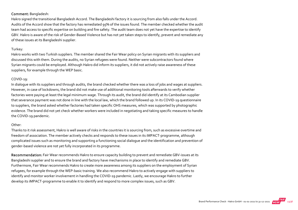#### Comment: Bangladesh:

Hakro signed the transitional Bangladesh Accord. The Bangladeshi factory it is sourcing from also falls under the Accord. Audits of the Accord show that the factory has remediated 95% of the issues found. The member checked whether the audit team had access to specific expertise on building and fire safety. The audit team does not yet have the expertise to identify GBV. Hakro is aware of the risk of Gender‐Based Violence but has not yet taken steps to identify, prevent and remediate any of these issues at its Bangladeshi supplier.

#### Turkey:

Hakro works with two Turkish suppliers. The member shared the Fair Wear policy on Syrian migrants with its suppliers and discussed this with them. During the audits, no Syrian refugees were found. Neither were subcontractors found where Syrian migrants could be employed. Although Hakro did inform its suppliers, it did not actively raise awareness of these suppliers, for example through the WEP basic.

#### COVID-19:

In dialogue with its suppliers and through audits, the brand checked whether there was a loss of jobs and wages at suppliers. However, in case of lockdowns, the brand did not make use of additional monitoring tools afterwards to verify whether factories were paying at least the legal minimum wage. Through its audit, the brand did identify at its Cambodian supplier that severance payment was not done in line with the local law, which the brand followed up. In its COVID‐19 questionnaire to suppliers, the brand asked whether factories had taken specific OHS measures, which was supported by photographic evidence. The brand did not yet check whether workers were included in negotiating and taking specific measures to handle the COVID‐19 pandemic.

#### Other:

Thanks to it risk assessment, Hakro is well aware of risks in the countries it is sourcing from, such as excessive overtime and freedom of association. The member actively checks and responds to these issues in its iMPACT-programme, although complicated issues such as monitoring and supporting a functioning social dialogue and the identification and prevention of gender‐based violence are not yet fully incorporated in its programme.

Recommendation: Fair Wear recommends Hakro to ensure capacity building to prevent and remediate GBV‐issues at its Bangladeshi supplier and to ensure the brand and factory have mechanisms in place to identify and remediate GBV. Furthermore, Fair Wear recommends Hakro to create more awareness among its suppliers on the employment of Syrian refugees, for example through the WEP‐basic training. We also recommend Hakro to actively engage with suppliers to identify and monitor worker involvement in handling the COVID-19 pandemic. Lastly, we encourage Hakro to further develop its iMPACT‐programme to enable it to identify and respond to more complex issues, such as GBV.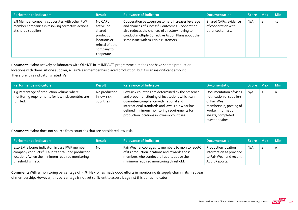| Performance indicators                                                                                                   | <b>Result</b>                                                                                                | <b>Relevance of Indicator</b>                                                                                                                                                                                                                       | <b>Documentation</b>                                             | Score Max |                | <b>Min</b> |
|--------------------------------------------------------------------------------------------------------------------------|--------------------------------------------------------------------------------------------------------------|-----------------------------------------------------------------------------------------------------------------------------------------------------------------------------------------------------------------------------------------------------|------------------------------------------------------------------|-----------|----------------|------------|
| 2.8 Member company cooperates with other FWF<br>member companies in resolving corrective actions<br>at shared suppliers. | No CAPs<br>active, no<br>shared<br>production<br>locations or<br>refusal of other<br>company to<br>cooperate | Cooperation between customers increases leverage<br>and chances of successful outcomes. Cooperation<br>also reduces the chances of a factory having to<br>conduct multiple Corrective Action Plans about the<br>same issue with multiple customers. | Shared CAPs, evidence<br>of cooperation with<br>other customers. | N/A       | $\overline{2}$ | $-1$       |

Comment: Hakro actively collaborates with OLYMP in its iMPACT‐programme but does not have shared production locations with them. At one supplier, a Fair Wear member has placed production, but it is an insignificant amount. Therefore, this indicator is rated n/a.

| Performance indicators                                                                                        | <b>Result</b>                             | <b>Relevance of Indicator</b>                                                                                                                                                                                                                                                                    | <b>Documentation</b>                                                                                                                                          | Score Max |                | <b>Min</b> |
|---------------------------------------------------------------------------------------------------------------|-------------------------------------------|--------------------------------------------------------------------------------------------------------------------------------------------------------------------------------------------------------------------------------------------------------------------------------------------------|---------------------------------------------------------------------------------------------------------------------------------------------------------------|-----------|----------------|------------|
| 2.9 Percentage of production volume where<br>monitoring requirements for low-risk countries are<br>fulfilled. | No production<br>in low-risk<br>countries | Low-risk countries are determined by the presence<br>and proper functioning of institutions which can<br>quarantee compliance with national and<br>international standards and laws. Fair Wear has<br>defined minimum monitoring requirements for<br>production locations in low-risk countries. | Documentation of visits,<br>notification of suppliers<br>of Fair Wear<br>membership; posting of<br>worker information<br>sheets, completed<br>questionnaires. | N/A       | $\overline{2}$ |            |

Comment: Hakro does not source from countries that are considered low‐risk.

| Performance indicators                                                                                                                                                         | <b>Result</b> | <b>Relevance of Indicator</b>                                                                                                                                                            | <b>Documentation</b>                                                                               | Score Max | <b>Min</b> |
|--------------------------------------------------------------------------------------------------------------------------------------------------------------------------------|---------------|------------------------------------------------------------------------------------------------------------------------------------------------------------------------------------------|----------------------------------------------------------------------------------------------------|-----------|------------|
| 2.10 Extra bonus indicator: in case FWF member<br>company conducts full audits at tail-end production<br>locations (when the minimum required monitoring<br>threshold is met). | No            | Fair Wear encourages its members to monitor 100%<br>of its production locations and rewards those<br>members who conduct full audits above the<br>minimum required monitoring threshold. | <b>Production location</b><br>information as provided<br>to Fair Wear and recent<br>Audit Reports. | N/A       | $\circ$    |

Comment: With a monitoring percentage of 73%, Hakro has made good efforts in monitoring its supply chain in its first year of membership. However, this percentage is not yet sufficient to assess it against this bonus indicator.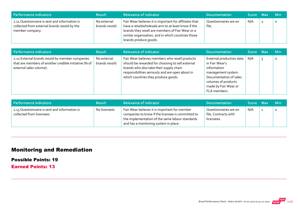| Performance indicators                                                                                           | <b>Result</b>                | <b>Relevance of Indicator</b>                                                                                                                                                                                                                    | <b>Documentation</b>           | <b>Score</b> | <b>Max</b>     | ⊟ Min   |
|------------------------------------------------------------------------------------------------------------------|------------------------------|--------------------------------------------------------------------------------------------------------------------------------------------------------------------------------------------------------------------------------------------------|--------------------------------|--------------|----------------|---------|
| 2.11 Questionnaire is sent and information is<br>collected from external brands resold by the<br>member company. | No external<br>brands resold | Fair Wear believes it is important for affiliates that<br>have a retail/wholesale arm to at least know if the<br>brands they resell are members of Fair Wear or a<br>similar organisation, and in which countries those<br>brands produce goods. | Questionnaires are on<br>file. | N/A          | $\overline{2}$ | $\circ$ |

| <b>Performance indicators</b>                                                                                                       | <b>Result</b>                | <b>Relevance of Indicator</b>                                                                                                                                                                                                            | <b>Documentation</b>                                                                                                                                                                 | Score Max | <b>Min</b> |
|-------------------------------------------------------------------------------------------------------------------------------------|------------------------------|------------------------------------------------------------------------------------------------------------------------------------------------------------------------------------------------------------------------------------------|--------------------------------------------------------------------------------------------------------------------------------------------------------------------------------------|-----------|------------|
| 2.12 External brands resold by member companies<br>that are members of another credible initiative (% of<br>external sales volume). | No external<br>brands resold | Fair Wear believes members who resell products<br>should be rewarded for choosing to sell external<br>brands who also take their supply chain<br>responsibilities seriously and are open about in<br>which countries they produce goods. | External production data $\parallel$<br>in Fair Wear's<br>information<br>management system.<br>Documentation of sales<br>volumes of products<br>made by Fair Wear or<br>FLA members. | N/A       | $\Omega$   |

| Performance indicators                                                     | <b>Result</b> | <b>Relevance of Indicator</b>                                                                                                                                                                  | <b>Documentation</b>                                        | Score Max | <b>Min</b> |
|----------------------------------------------------------------------------|---------------|------------------------------------------------------------------------------------------------------------------------------------------------------------------------------------------------|-------------------------------------------------------------|-----------|------------|
| 2.13 Questionnaire is sent and information is<br>collected from licensees. | No licensees  | Fair Wear believes it is important for member<br>companies to know if the licensee is committed to<br>the implementation of the same labour standards<br>and has a monitoring system in place. | Questionnaires are on<br>file. Contracts with<br>licensees. | N/A       |            |

# Monitoring and Remediation

Possible Points: 19

Earned Points: 13

**FAIR**<br>Brand Performance Check - Hakro GmbH - 01-01-2021 to 31-12-2021 **THEAR** 25/38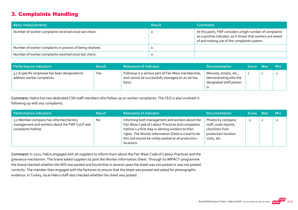## 3. Complaints Handling

| <b>Basic measurements</b>                                 | <b>Result</b> | <b>Comments</b>                                                                                                                                                        |
|-----------------------------------------------------------|---------------|------------------------------------------------------------------------------------------------------------------------------------------------------------------------|
| Number of worker complaints received since last check.    |               | At this point, FWF considers a high number of complaints<br>as a positive indicator, as it shows that workers are aware<br>of and making use of the complaints system. |
| Number of worker complaints in process of being resolved. |               |                                                                                                                                                                        |
| Number of worker complaints resolved since last check.    |               |                                                                                                                                                                        |

| Performance indicators                                                       | <b>Result</b> | <b>Relevance of Indicator</b>                                                                                    | <b>Documentation</b>                                                              | Score Max | <b>Min</b> |
|------------------------------------------------------------------------------|---------------|------------------------------------------------------------------------------------------------------------------|-----------------------------------------------------------------------------------|-----------|------------|
| 3.1 A specific employee has been designated to<br>address worker complaints. | Yes           | Followup is a serious part of Fair Wear membership,<br>and cannot be successfully managed on an ad-hoc<br>basis. | Manuals, emails, etc.,<br>demonstrating who the<br>designated staff person<br>.כו |           | $-1$       |

Comment: Hakro has two dedicated CSR staff members who follow up on worker complaints. The CEO is also involved in following up with any complaints.

| Performance indicators                                                                                          | <b>Result</b> | <b>Relevance of Indicator</b>                                                                                                                                                                                                                                                             | <b>Documentation</b>                                                                                 | Score Max |                | <b>Min</b> |
|-----------------------------------------------------------------------------------------------------------------|---------------|-------------------------------------------------------------------------------------------------------------------------------------------------------------------------------------------------------------------------------------------------------------------------------------------|------------------------------------------------------------------------------------------------------|-----------|----------------|------------|
| 3.2 Member company has informed factory<br>management and workers about the FWF CoLP and<br>complaints hotline. | <b>No</b>     | Informing both management and workers about the<br>Fair Wear Code of Labour Practices and complaints<br>hotline is a first step in alerting workers to their<br>rights. The Worker Information Sheet is a tool to do<br>this and should be visibly posted at all production<br>locations. | Photos by company<br>staff, audit reports,<br>checklists from<br>production location<br>visits, etc. | $-2$      | $\overline{2}$ | $-2$       |

Comment: In 2021, Hakro engaged with all suppliers to inform them about the Fair Wear Code of Labour Practices and the grievance mechanism. The brand asked suppliers to post the Worker Information Sheet. Through its IMPACT‐programme the brand checked whether the WIS was posted and found that in several cases the sheet was not posted or was not posted correctly. The member then engaged with the factories to ensure that the sheet was posted and asked for photographic evidence. In Turkey, local Hakro staff also checked whether the sheet was posted.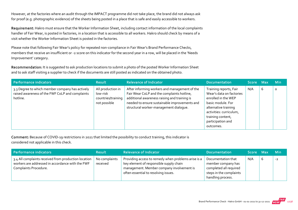However, at the factories where an audit through the IMPACT programme did not take place, the brand did not always ask for proof (e.g. photographic evidence) of the sheets being posted in a place that is safe and easily accessible to workers.

Requirement: Hakro must ensure that the Worker Information Sheet, including contact information of the local complaints handler of Fair Wear, is posted in factories, in a location that is accessible to all workers. Hakro should check by means of a visit whether the Worker Information Sheet is posted in the factories.

Please note that following Fair Wear's policy for repeated non‐compliance in Fair Wear's Brand Performance Checks, members that receive an insufficient or ‐2 score on this indicator for the second year in a row, will be placed in the 'Needs Improvement' category.

Recommendation: It is suggested to ask production locations to submit a photo of the posted Worker Information Sheet and to ask staff visiting a supplier to check if the documents are still posted as indicated on the obtained photo.

| Performance indicators                                                                                         | <b>Result</b>                                                       | <b>Relevance of Indicator</b>                                                                                                                                                                                                          | <b>Documentation</b>                                                                                                                                                                                     | Score Max |   | <b>Min</b> |
|----------------------------------------------------------------------------------------------------------------|---------------------------------------------------------------------|----------------------------------------------------------------------------------------------------------------------------------------------------------------------------------------------------------------------------------------|----------------------------------------------------------------------------------------------------------------------------------------------------------------------------------------------------------|-----------|---|------------|
| 3.3 Degree to which member company has actively<br>raised awareness of the FWF CoLP and complaints<br>hotline. | All production in<br>low-risk<br>countries/training<br>not possible | After informing workers and management of the<br>Fair Wear CoLP and the complaints hotline,<br>additional awareness raising and training is<br>needed to ensure sustainable improvements and<br>structural worker-management dialogue. | Training reports, Fair<br>Wear's data on factories<br>enrolled in the WEP<br>basic module. For<br>alternative training<br>activities: curriculum,<br>training content,<br>participation and<br>outcomes. | N/A       | b | $\circ$    |

Comment: Because of COVID-19 restrictions in 2021 that limited the possibility to conduct training, this indicator is considered not applicable in this check.

| Performance indicators                                                                                                            | <b>Result</b>             | <b>Relevance of Indicator</b>                                                                                                                                                       | <b>Documentation</b>                                                                                               | Score Max | <b>Min</b> |
|-----------------------------------------------------------------------------------------------------------------------------------|---------------------------|-------------------------------------------------------------------------------------------------------------------------------------------------------------------------------------|--------------------------------------------------------------------------------------------------------------------|-----------|------------|
| 3.4 All complaints received from production location<br>workers are addressed in accordance with the FWF<br>Complaints Procedure. | No complaints<br>received | Providing access to remedy when problems arise is a<br>key element of responsible supply chain<br>management. Member company involvement is<br>often essential to resolving issues. | Documentation that<br>member company has<br>completed all required<br>steps in the complaints<br>handling process. | N/A       | $-2$       |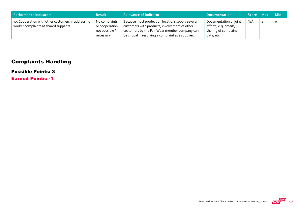| Performance indicators                                                                       | <b>Result</b>                                                  | <b>Relevance of Indicator</b>                                                                                                                                                                             | <b>Documentation</b>                                                                  | Score Max | <b>Min</b> |
|----------------------------------------------------------------------------------------------|----------------------------------------------------------------|-----------------------------------------------------------------------------------------------------------------------------------------------------------------------------------------------------------|---------------------------------------------------------------------------------------|-----------|------------|
| 3.5 Cooperation with other customers in addressing<br>worker complaints at shared suppliers. | No complaints<br>or cooperation<br>not possible /<br>necessary | Because most production locations supply several<br>customers with products, involvement of other<br>customers by the Fair Wear member company can<br>be critical in resolving a complaint at a supplier. | Documentation of joint<br>efforts, e.g. emails,<br>sharing of complaint<br>data, etc. | N/A       |            |

# Complaints Handling

#### Possible Points: 3

Earned Points: -1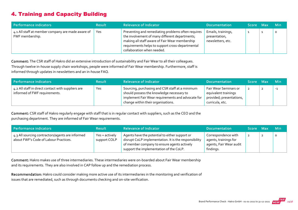# 4. Training and Capacity Building

| Performance indicators                                               | <b>Result</b> | <b>Relevance of Indicator</b>                                                                                                                                                                                                            | <b>Documentation</b>                                     | Score Max | <b>Min</b> |
|----------------------------------------------------------------------|---------------|------------------------------------------------------------------------------------------------------------------------------------------------------------------------------------------------------------------------------------------|----------------------------------------------------------|-----------|------------|
| 4.1 All staff at member company are made aware of<br>FWF membership. | Yes           | Preventing and remediating problems often requires<br>the involvement of many different departments;<br>making all staff aware of Fair Wear membership<br>requirements helps to support cross-departmental<br>collaboration when needed. | Emails, trainings,<br>presentation,<br>newsletters, etc. |           | Ω          |

Comment: The CSR staff of Hakro did an extensive introduction of sustainability and Fair Wear to all their colleagues. Through twelve in‐house supply chain workshops, people were informed of Fair Wear membership. Furthermore, staff is informed through updates in newsletters and an in‐house FAQ.

| Performance indicators                                                              | <b>Result</b> | <b>Relevance of Indicator</b>                                                                                                                                                           | <b>Documentation</b>                                                                         | Score Max | <b>Min</b> |
|-------------------------------------------------------------------------------------|---------------|-----------------------------------------------------------------------------------------------------------------------------------------------------------------------------------------|----------------------------------------------------------------------------------------------|-----------|------------|
| 4.2 All staff in direct contact with suppliers are<br>informed of FWF requirements. | Yes           | Sourcing, purchasing and CSR staff at a minimum<br>should possess the knowledge necessary to<br>implement Fair Wear requirements and advocate for<br>change within their organisations. | Fair Wear Seminars or<br>equivalent trainings<br>provided; presentations,<br>curricula, etc. |           | $-1$       |

Comment: CSR staff of Hakro regularly engage with staff that is in regular contact with suppliers, such as the CEO and the purchasing department. They are informed of Fair Wear requirements.

| Performance indicators                                                                    | <b>Result</b>                  | <b>Relevance of Indicator</b>                                                                                                                                                                     | <b>Documentation</b>                                                                 | Score Max | <b>Min</b> |
|-------------------------------------------------------------------------------------------|--------------------------------|---------------------------------------------------------------------------------------------------------------------------------------------------------------------------------------------------|--------------------------------------------------------------------------------------|-----------|------------|
| 4.3 All sourcing contractors/agents are informed<br>about FWF's Code of Labour Practices. | Yes + actively<br>support COLP | Agents have the potential to either support or<br>disrupt CoLP implementation. It is the responsibility<br>of member company to ensure agents actively<br>support the implementation of the CoLP. | Correspondence with<br>agents, trainings for<br>agents, Fair Wear audit<br>findings. |           | $\circ$    |

Comment: Hakro makes use of three intermediaries. These intermediaries were on‐boarded about Fair Wear membership and its requirements. They are also involved in CAP follow up and the remediation process.

Recommendation: Hakro could consider making more active use of its intermediaries in the monitoring and verification of issues that are remediated, such as through documents checking and on‐site verification.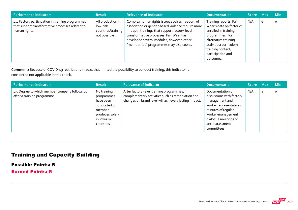| Performance indicators                                                                                                | <b>Result</b>                                                       | <b>Relevance of Indicator</b>                                                                                                                                                                                                                                                           | <b>Documentation</b>                                                                                                                                                                                    | Score Max |            | <b>Min</b> |
|-----------------------------------------------------------------------------------------------------------------------|---------------------------------------------------------------------|-----------------------------------------------------------------------------------------------------------------------------------------------------------------------------------------------------------------------------------------------------------------------------------------|---------------------------------------------------------------------------------------------------------------------------------------------------------------------------------------------------------|-----------|------------|------------|
| 4.4 Factory participation in training programmes<br>that support transformative processes related to<br>human rights. | All production in<br>low-risk<br>countries/training<br>not possible | Complex human rights issues such as freedom of<br>association or gender-based violence require more<br>in-depth trainings that support factory-level<br>transformative processes. Fair Wear has<br>developed several modules, however, other<br>(member-led) programmes may also count. | Training reports, Fair<br>Wear's data on factories<br>enrolled in training<br>programmes. For<br>alternative training<br>activities: curriculum,<br>training content,<br>participation and<br>outcomes. | N/A       | $\epsilon$ | 0          |

Comment: Because of COVID‐19 restrictions in 2021 that limited the possibility to conduct training, this indicator is considered not applicable in this check.

| Performance indicators                                                       | <b>Result</b>                                                                                                   | <b>Relevance of Indicator</b>                                                                                                                         | <b>Documentation</b>                                                                                                                                                                           | Score Max |                | <b>Min</b> |
|------------------------------------------------------------------------------|-----------------------------------------------------------------------------------------------------------------|-------------------------------------------------------------------------------------------------------------------------------------------------------|------------------------------------------------------------------------------------------------------------------------------------------------------------------------------------------------|-----------|----------------|------------|
| 4.5 Degree to which member company follows up<br>after a training programme. | No training<br>programmes<br>have been<br>conducted or<br>member<br>produces solely<br>in low-risk<br>countries | After factory-level training programmes,<br>complementary activities such as remediation and<br>changes on brand level will achieve a lasting impact. | Documentation of<br>discussions with factory<br>management and<br>worker representatives,<br>minutes of regular<br>worker-management<br>dialoque meetings or<br>anti-harassment<br>committees. | N/A       | $\overline{2}$ | $\circ$    |

# Training and Capacity Building

Possible Points: 5

Earned Points: 5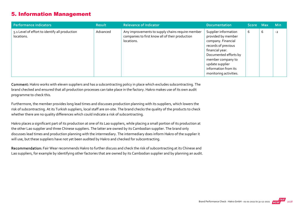#### 5. Information Management

| Performance indicators                                       | <b>Result</b> | <b>Relevance of Indicator</b>                                                                                     | <b>Documentation</b>                                                                                                                                                                                                          | Score Max |   | <b>Min</b> |
|--------------------------------------------------------------|---------------|-------------------------------------------------------------------------------------------------------------------|-------------------------------------------------------------------------------------------------------------------------------------------------------------------------------------------------------------------------------|-----------|---|------------|
| 5.1 Level of effort to identify all production<br>locations. | Advanced      | Any improvements to supply chains require member<br>companies to first know all of their production<br>locations. | Supplier information<br>provided by member<br>company. Financial<br>records of previous<br>financial year.<br>Documented efforts by<br>member company to<br>update supplier<br>information from its<br>monitoring activities. | 6         | b | $-2$       |

Comment: Hakro works with eleven suppliers and has a subcontracting policy in place which excludes subcontracting. The brand checked and ensured that all production processes can take place in the factory. Hakro makes use of its own audit programme to check this.

Furthermore, the member provides long lead times and discusses production planning with its suppliers, which lowers the risk of subcontracting. At its Turkish suppliers, local staff are on‐site. The brand checks the quality of the products to check whether there are no quality differences which could indicate a risk of subcontracting.

Hakro places a significant part of its production at one of its Lao suppliers, while placing a small portion of its production at the other Lao supplier and three Chinese suppliers. The latter are owned by its Cambodian supplier. The brand only discusses lead times and production planning with the intermediary. The intermediary does inform Hakro of the supplier it will use, but these suppliers have not yet been audited by Hakro and checked for subcontracting.

Recommendation: Fair Wear recommends Hakro to further discuss and check the risk of subcontracting at its Chinese and Lao suppliers, for example by identifying other factories that are owned by its Cambodian supplier and by planning an audit.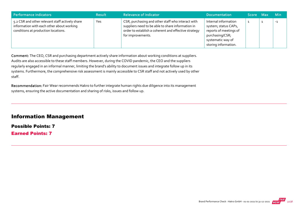| Performance indicators                                                                                                              | <b>Result</b> | <b>Relevance of Indicator</b>                                                                                                                                                       | <b>Documentation</b>                                                                                                                   | Score Max | <b>Min</b> |
|-------------------------------------------------------------------------------------------------------------------------------------|---------------|-------------------------------------------------------------------------------------------------------------------------------------------------------------------------------------|----------------------------------------------------------------------------------------------------------------------------------------|-----------|------------|
| 5.2 CSR and other relevant staff actively share<br>information with each other about working<br>conditions at production locations. | Yes           | CSR, purchasing and other staff who interact with<br>suppliers need to be able to share information in<br>order to establish a coherent and effective strategy<br>for improvements. | Internal information<br>system; status CAPs,<br>reports of meetings of<br>purchasing/CSR;<br>systematic way of<br>storing information. |           | $-1$       |

Comment: The CEO, CSR and purchasing department actively share information about working conditions at suppliers. Audits are also accessible to these staff members. However, during the COVID pandemic, the CEO and the suppliers regularly engaged in an informal manner, limiting the brand's ability to document issues and integrate follow up in its systems. Furthermore, the comprehensive risk assessment is mainly accessible to CSR staff and not actively used by other staff.

Recommendation: Fair Wear recommends Hakro to further integrate human rights due diligence into its management systems, ensuring the active documentation and sharing of risks, issues and follow up.

#### Information Management

Possible Points: 7 Earned Points: 7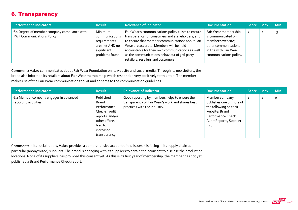## 6. Transparency

| Performance indicators                                                            | <b>Result</b>                                                                                | <b>Relevance of Indicator</b>                                                                                                                                                                                                                                                                                                                   | <b>Documentation</b>                                                                                                                        | Score Max | <b>Min</b> |
|-----------------------------------------------------------------------------------|----------------------------------------------------------------------------------------------|-------------------------------------------------------------------------------------------------------------------------------------------------------------------------------------------------------------------------------------------------------------------------------------------------------------------------------------------------|---------------------------------------------------------------------------------------------------------------------------------------------|-----------|------------|
| 6.1 Degree of member company compliance with<br><b>FWF Communications Policy.</b> | Minimum<br>communications<br>requirements<br>are met AND no<br>significant<br>problems found | Fair Wear's communications policy exists to ensure<br>transparency for consumers and stakeholders, and<br>to ensure that member communications about Fair<br>Wear are accurate. Members will be held<br>accountable for their own communications as well<br>as the communications behaviour of 3rd-party<br>retailers, resellers and customers. | Fair Wear membership<br>is communicated on<br>member's website;<br>other communications<br>in line with Fair Wear<br>communications policy. |           | -3         |

Comment: Hakro communicates about Fair Wear Foundation on its website and social media. Through its newsletters, the brand also informed its retailers about Fair Wear membership which responded very positively to this step. The member makes use of the Fair Wear communication toolkit and adheres to the communication guidelines.

| Performance indicators                                          | <b>Result</b>                                                                                                                          | <b>Relevance of Indicator</b>                                                                                                     | <b>Documentation</b>                                                                                                                             | <b>Score</b> | <b>Max</b>     | <b>Min</b> |
|-----------------------------------------------------------------|----------------------------------------------------------------------------------------------------------------------------------------|-----------------------------------------------------------------------------------------------------------------------------------|--------------------------------------------------------------------------------------------------------------------------------------------------|--------------|----------------|------------|
| 6.2 Member company engages in advanced<br>reporting activities. | Published<br><b>Brand</b><br>Performance<br>Checks, audit<br>reports, and/or<br>other efforts<br>lead to<br>increased<br>transparency. | Good reporting by members helps to ensure the<br>transparency of Fair Wear's work and shares best<br>practices with the industry. | Member company<br>publishes one or more of<br>the following on their<br>website: Brand<br>Performance Check,<br>Audit Reports, Supplier<br>List. | 1            | $\overline{2}$ | $\circ$    |

Comment: In its social report, Hakro provides a comprehensive account of the issues it is facing in its supply chain at particular (anonymized) suppliers. The brand is engaging with its suppliers to obtain their consent to disclose the production locations. None of its suppliers has provided this consent yet. As this is its first year of membership, the member has not yet published a Brand Performance Check report.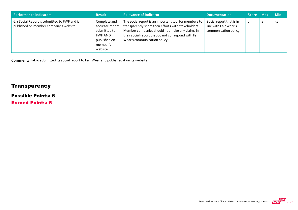| Performance indicators                                                                 | <b>Result</b>                                                                                      | <b>Relevance of Indicator</b>                                                                                                                                                                                                                           | <b>Documentation</b>                                                       | Score Max      | <b>Min</b> |
|----------------------------------------------------------------------------------------|----------------------------------------------------------------------------------------------------|---------------------------------------------------------------------------------------------------------------------------------------------------------------------------------------------------------------------------------------------------------|----------------------------------------------------------------------------|----------------|------------|
| 6.3 Social Report is submitted to FWF and is<br>published on member company's website. | Complete and<br>accurate report<br>submitted to<br>FWF AND<br>published on<br>member's<br>website. | The social report is an important tool for members to<br>transparently share their efforts with stakeholders.<br>Member companies should not make any claims in<br>their social report that do not correspond with Fair<br>Wear's communication policy. | Social report that is in<br>line with Fair Wear's<br>communication policy. | $\overline{2}$ | $-1$       |

Comment: Hakro submitted its social report to Fair Wear and published it on its website.

# **Transparency**

#### Possible Points: 6

Earned Points: 5

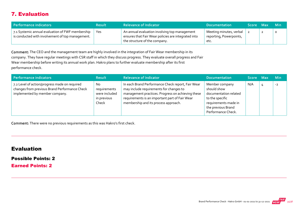## 7. Evaluation

| Performance indicators                                                                               | <b>Result</b> | <b>Relevance of Indicator</b>                                                                                                         | <b>Documentation</b>                                       | Score Max |   | ⊟ Min |
|------------------------------------------------------------------------------------------------------|---------------|---------------------------------------------------------------------------------------------------------------------------------------|------------------------------------------------------------|-----------|---|-------|
| 7.1 Systemic annual evaluation of FWF membership<br>is conducted with involvement of top management. | Yes           | An annual evaluation involving top management<br>ensures that Fair Wear policies are integrated into<br>the structure of the company. | Meeting minutes, verbal<br>reporting, Powerpoints,<br>etc. |           | ∸ | O     |

Comment: The CEO and the management team are highly involved in the integration of Fair Wear membership in its company. They have regular meetings with CSR staff in which they discuss progress. They evaluate overall progress and Fair Wear membership before writing its annual work plan. Hakro plans to further evaluate membership after its first performance check.

| Performance indicators                                                                                                           | <b>Result</b>                                               | <b>Relevance of Indicator</b>                                                                                                                                                                                                               | <b>Documentation</b>                                                                                                                          | Score Max | <b>Min</b> |
|----------------------------------------------------------------------------------------------------------------------------------|-------------------------------------------------------------|---------------------------------------------------------------------------------------------------------------------------------------------------------------------------------------------------------------------------------------------|-----------------------------------------------------------------------------------------------------------------------------------------------|-----------|------------|
| 7.2 Level of action/progress made on required<br>changes from previous Brand Performance Check<br>implemented by member company. | No<br>requirements<br>were included<br>in previous<br>Check | In each Brand Performance Check report, Fair Wear<br>may include requirements for changes to<br>management practices. Progress on achieving these<br>requirements is an important part of Fair Wear<br>membership and its process approach. | Member company<br>should show<br>documentation related<br>to the specific<br>requirements made in<br>the previous Brand<br>Performance Check. | N/A       | $-2$       |

Comment: There were no previous requirements as this was Hakro's first check.

#### Evaluation

#### Possible Points: 2

Earned Points: 2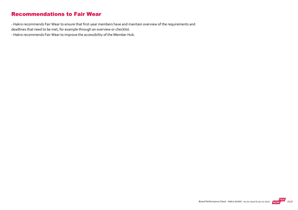#### Recommendations to Fair Wear

‐ Hakro recommends Fair Wear to ensure that first‐year members have and maintain overview of the requirements and deadlines that need to be met, for example through an overview or checklist.

‐ Hakro recommends Fair Wear to improve the accessibility of the Member Hub.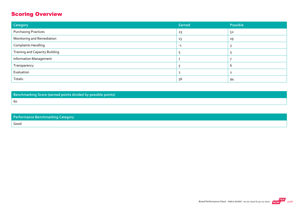# Scoring Overview

| Category                              | Earned | Possible |
|---------------------------------------|--------|----------|
| <b>Purchasing Practices</b>           | 25     | 52       |
| Monitoring and Remediation            | 13     | 19       |
| <b>Complaints Handling</b>            | $-1$   |          |
| <b>Training and Capacity Building</b> |        |          |
| <b>Information Management</b>         |        |          |
| Transparency                          |        | b        |
| Evaluation                            |        |          |
| Totals:                               | 56     | 94       |

Benchmarking Score (earned points divided by possible points) 60

| Performance Benchmarking Category |
|-----------------------------------|
| Good                              |